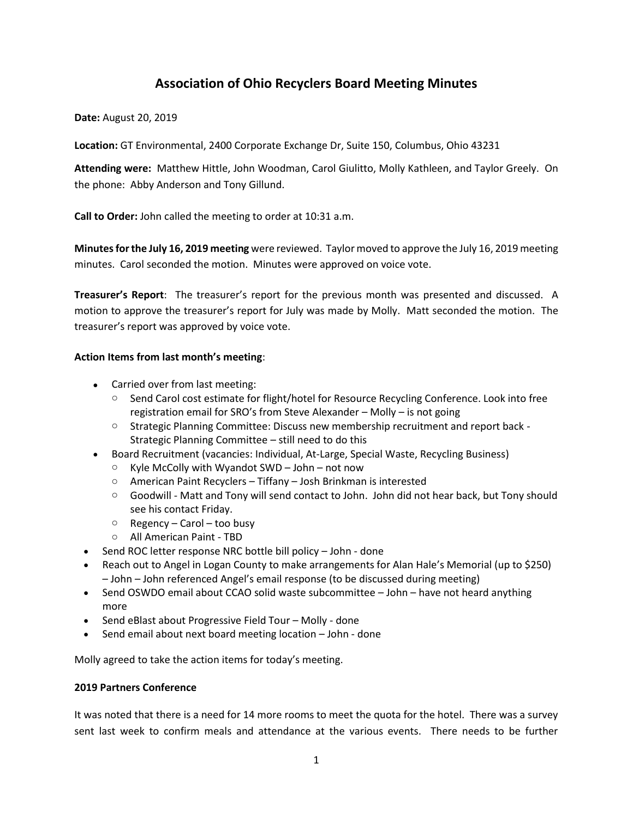# **Association of Ohio Recyclers Board Meeting Minutes**

**Date:** August 20, 2019

**Location:** GT Environmental, 2400 Corporate Exchange Dr, Suite 150, Columbus, Ohio 43231

**Attending were:** Matthew Hittle, John Woodman, Carol Giulitto, Molly Kathleen, and Taylor Greely. On the phone: Abby Anderson and Tony Gillund.

**Call to Order:** John called the meeting to order at 10:31 a.m.

**Minutes for the July 16, 2019 meeting** were reviewed. Taylor moved to approve the July 16, 2019 meeting minutes. Carol seconded the motion. Minutes were approved on voice vote.

**Treasurer's Report**: The treasurer's report for the previous month was presented and discussed. A motion to approve the treasurer's report for July was made by Molly. Matt seconded the motion. The treasurer's report was approved by voice vote.

## **Action Items from last month's meeting**:

- Carried over from last meeting:
	- o Send Carol cost estimate for flight/hotel for Resource Recycling Conference. Look into free registration email for SRO's from Steve Alexander – Molly – is not going
	- o Strategic Planning Committee: Discuss new membership recruitment and report back Strategic Planning Committee – still need to do this
- Board Recruitment (vacancies: Individual, At-Large, Special Waste, Recycling Business)
	- $\circ$  Kyle McColly with Wyandot SWD John not now
	- o American Paint Recyclers Tiffany Josh Brinkman is interested
	- $\circ$  Goodwill Matt and Tony will send contact to John. John did not hear back, but Tony should see his contact Friday.
	- $\circ$  Regency Carol too busy
	- o All American Paint TBD
- Send ROC letter response NRC bottle bill policy John done
- Reach out to Angel in Logan County to make arrangements for Alan Hale's Memorial (up to \$250) – John – John referenced Angel's email response (to be discussed during meeting)
- Send OSWDO email about CCAO solid waste subcommittee John have not heard anything more
- Send eBlast about Progressive Field Tour Molly done
- Send email about next board meeting location John done

Molly agreed to take the action items for today's meeting.

### **2019 Partners Conference**

It was noted that there is a need for 14 more rooms to meet the quota for the hotel. There was a survey sent last week to confirm meals and attendance at the various events. There needs to be further